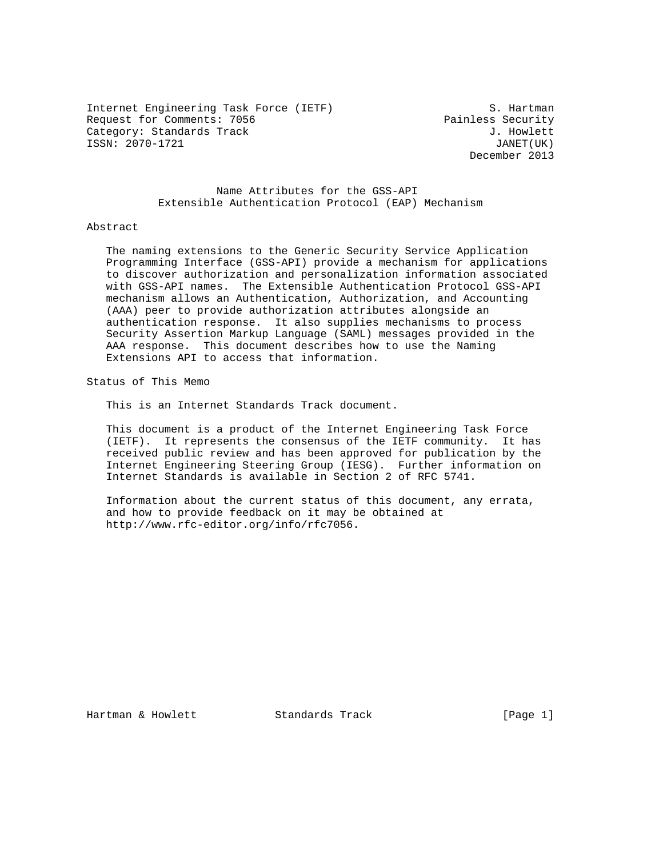Internet Engineering Task Force (IETF) S. Hartman Request for Comments: 7056 Painless Security Category: Standards Track J. Howlett ISSN: 2070-1721 JANET(UK)

December 2013

 Name Attributes for the GSS-API Extensible Authentication Protocol (EAP) Mechanism

#### Abstract

 The naming extensions to the Generic Security Service Application Programming Interface (GSS-API) provide a mechanism for applications to discover authorization and personalization information associated with GSS-API names. The Extensible Authentication Protocol GSS-API mechanism allows an Authentication, Authorization, and Accounting (AAA) peer to provide authorization attributes alongside an authentication response. It also supplies mechanisms to process Security Assertion Markup Language (SAML) messages provided in the AAA response. This document describes how to use the Naming Extensions API to access that information.

Status of This Memo

This is an Internet Standards Track document.

 This document is a product of the Internet Engineering Task Force (IETF). It represents the consensus of the IETF community. It has received public review and has been approved for publication by the Internet Engineering Steering Group (IESG). Further information on Internet Standards is available in Section 2 of RFC 5741.

 Information about the current status of this document, any errata, and how to provide feedback on it may be obtained at http://www.rfc-editor.org/info/rfc7056.

Hartman & Howlett **Standards Track** [Page 1]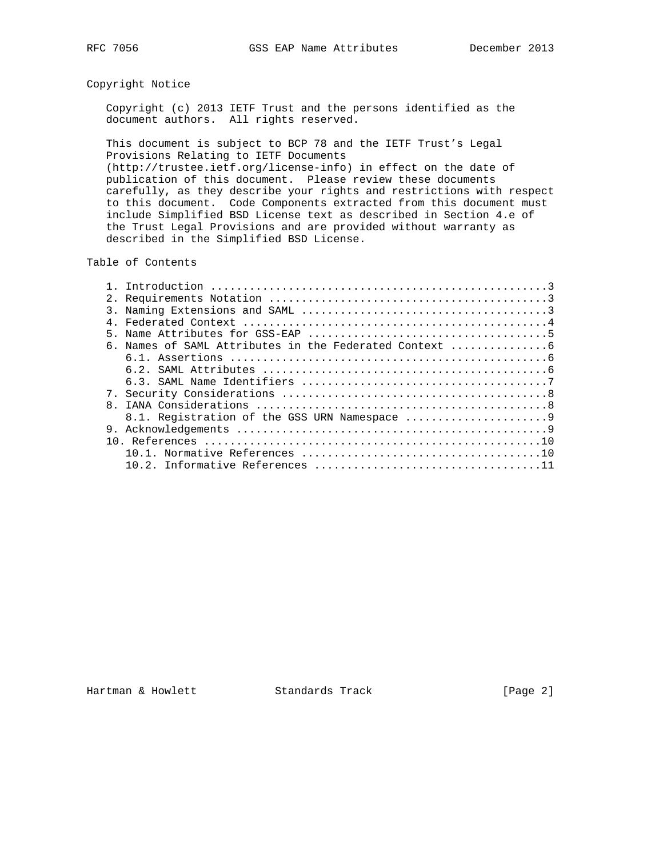# Copyright Notice

 Copyright (c) 2013 IETF Trust and the persons identified as the document authors. All rights reserved.

 This document is subject to BCP 78 and the IETF Trust's Legal Provisions Relating to IETF Documents (http://trustee.ietf.org/license-info) in effect on the date of publication of this document. Please review these documents carefully, as they describe your rights and restrictions with respect to this document. Code Components extracted from this document must include Simplified BSD License text as described in Section 4.e of the Trust Legal Provisions and are provided without warranty as

Table of Contents

described in the Simplified BSD License.

| 3.           |  |
|--------------|--|
|              |  |
|              |  |
|              |  |
|              |  |
|              |  |
|              |  |
|              |  |
| $\mathsf{R}$ |  |
|              |  |
|              |  |
|              |  |
|              |  |
|              |  |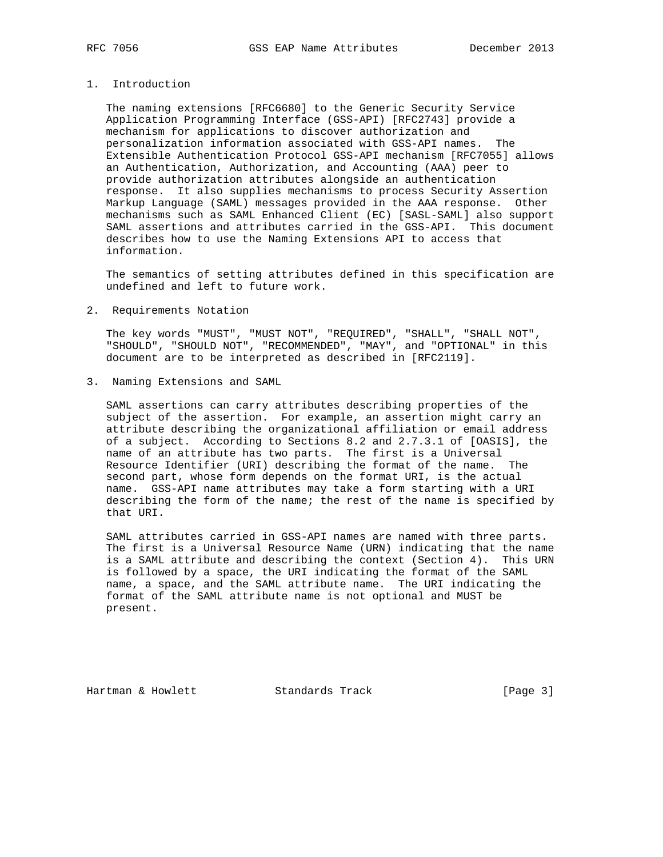### 1. Introduction

 The naming extensions [RFC6680] to the Generic Security Service Application Programming Interface (GSS-API) [RFC2743] provide a mechanism for applications to discover authorization and personalization information associated with GSS-API names. The Extensible Authentication Protocol GSS-API mechanism [RFC7055] allows an Authentication, Authorization, and Accounting (AAA) peer to provide authorization attributes alongside an authentication response. It also supplies mechanisms to process Security Assertion Markup Language (SAML) messages provided in the AAA response. Other mechanisms such as SAML Enhanced Client (EC) [SASL-SAML] also support SAML assertions and attributes carried in the GSS-API. This document describes how to use the Naming Extensions API to access that information.

 The semantics of setting attributes defined in this specification are undefined and left to future work.

2. Requirements Notation

 The key words "MUST", "MUST NOT", "REQUIRED", "SHALL", "SHALL NOT", "SHOULD", "SHOULD NOT", "RECOMMENDED", "MAY", and "OPTIONAL" in this document are to be interpreted as described in [RFC2119].

3. Naming Extensions and SAML

 SAML assertions can carry attributes describing properties of the subject of the assertion. For example, an assertion might carry an attribute describing the organizational affiliation or email address of a subject. According to Sections 8.2 and 2.7.3.1 of [OASIS], the name of an attribute has two parts. The first is a Universal Resource Identifier (URI) describing the format of the name. The second part, whose form depends on the format URI, is the actual name. GSS-API name attributes may take a form starting with a URI describing the form of the name; the rest of the name is specified by that URI.

 SAML attributes carried in GSS-API names are named with three parts. The first is a Universal Resource Name (URN) indicating that the name is a SAML attribute and describing the context (Section 4). This URN is followed by a space, the URI indicating the format of the SAML name, a space, and the SAML attribute name. The URI indicating the format of the SAML attribute name is not optional and MUST be present.

Hartman & Howlett **Standards Track** [Page 3]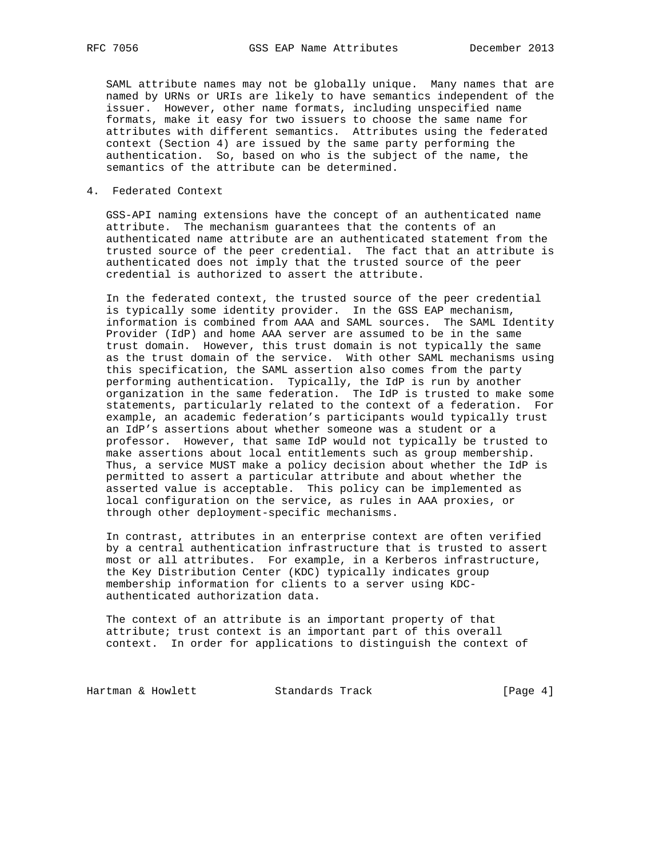SAML attribute names may not be globally unique. Many names that are named by URNs or URIs are likely to have semantics independent of the issuer. However, other name formats, including unspecified name formats, make it easy for two issuers to choose the same name for attributes with different semantics. Attributes using the federated context (Section 4) are issued by the same party performing the authentication. So, based on who is the subject of the name, the semantics of the attribute can be determined.

### 4. Federated Context

 GSS-API naming extensions have the concept of an authenticated name attribute. The mechanism guarantees that the contents of an authenticated name attribute are an authenticated statement from the trusted source of the peer credential. The fact that an attribute is authenticated does not imply that the trusted source of the peer credential is authorized to assert the attribute.

 In the federated context, the trusted source of the peer credential is typically some identity provider. In the GSS EAP mechanism, information is combined from AAA and SAML sources. The SAML Identity Provider (IdP) and home AAA server are assumed to be in the same trust domain. However, this trust domain is not typically the same as the trust domain of the service. With other SAML mechanisms using this specification, the SAML assertion also comes from the party performing authentication. Typically, the IdP is run by another organization in the same federation. The IdP is trusted to make some statements, particularly related to the context of a federation. For example, an academic federation's participants would typically trust an IdP's assertions about whether someone was a student or a professor. However, that same IdP would not typically be trusted to make assertions about local entitlements such as group membership. Thus, a service MUST make a policy decision about whether the IdP is permitted to assert a particular attribute and about whether the asserted value is acceptable. This policy can be implemented as local configuration on the service, as rules in AAA proxies, or through other deployment-specific mechanisms.

 In contrast, attributes in an enterprise context are often verified by a central authentication infrastructure that is trusted to assert most or all attributes. For example, in a Kerberos infrastructure, the Key Distribution Center (KDC) typically indicates group membership information for clients to a server using KDC authenticated authorization data.

 The context of an attribute is an important property of that attribute; trust context is an important part of this overall context. In order for applications to distinguish the context of

Hartman & Howlett Standards Track [Page 4]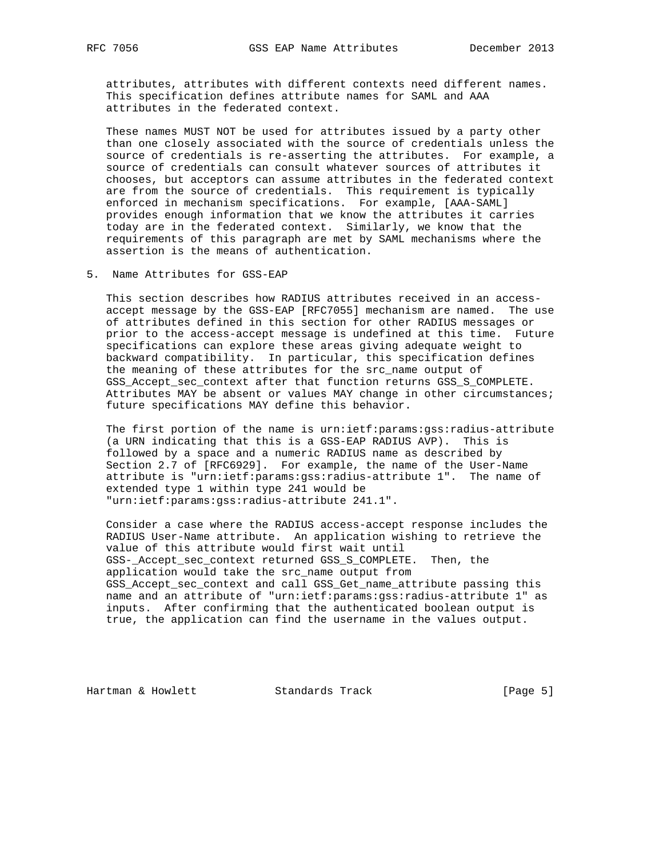attributes, attributes with different contexts need different names. This specification defines attribute names for SAML and AAA attributes in the federated context.

 These names MUST NOT be used for attributes issued by a party other than one closely associated with the source of credentials unless the source of credentials is re-asserting the attributes. For example, a source of credentials can consult whatever sources of attributes it chooses, but acceptors can assume attributes in the federated context are from the source of credentials. This requirement is typically enforced in mechanism specifications. For example, [AAA-SAML] provides enough information that we know the attributes it carries today are in the federated context. Similarly, we know that the requirements of this paragraph are met by SAML mechanisms where the assertion is the means of authentication.

5. Name Attributes for GSS-EAP

 This section describes how RADIUS attributes received in an access accept message by the GSS-EAP [RFC7055] mechanism are named. The use of attributes defined in this section for other RADIUS messages or prior to the access-accept message is undefined at this time. Future specifications can explore these areas giving adequate weight to backward compatibility. In particular, this specification defines the meaning of these attributes for the src\_name output of GSS\_Accept\_sec\_context after that function returns GSS\_S\_COMPLETE. Attributes MAY be absent or values MAY change in other circumstances; future specifications MAY define this behavior.

 The first portion of the name is urn:ietf:params:gss:radius-attribute (a URN indicating that this is a GSS-EAP RADIUS AVP). This is followed by a space and a numeric RADIUS name as described by Section 2.7 of [RFC6929]. For example, the name of the User-Name attribute is "urn:ietf:params:gss:radius-attribute 1". The name of extended type 1 within type 241 would be "urn:ietf:params:gss:radius-attribute 241.1".

 Consider a case where the RADIUS access-accept response includes the RADIUS User-Name attribute. An application wishing to retrieve the value of this attribute would first wait until GSS-\_Accept\_sec\_context returned GSS\_S\_COMPLETE. Then, the application would take the src\_name output from GSS\_Accept\_sec\_context and call GSS\_Get\_name\_attribute passing this name and an attribute of "urn:ietf:params:gss:radius-attribute 1" as inputs. After confirming that the authenticated boolean output is true, the application can find the username in the values output.

Hartman & Howlett **Standards Track** [Page 5]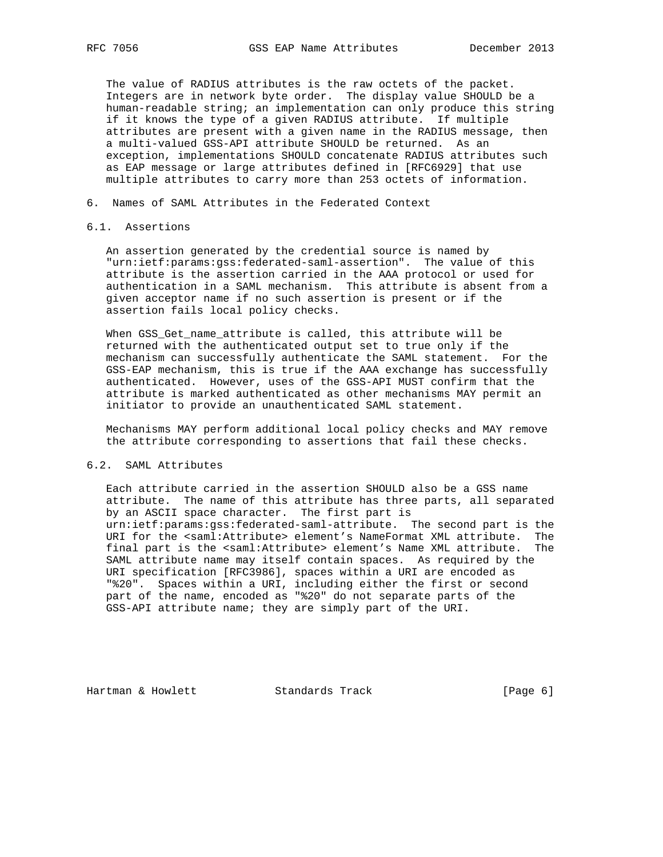The value of RADIUS attributes is the raw octets of the packet. Integers are in network byte order. The display value SHOULD be a human-readable string; an implementation can only produce this string if it knows the type of a given RADIUS attribute. If multiple attributes are present with a given name in the RADIUS message, then a multi-valued GSS-API attribute SHOULD be returned. As an exception, implementations SHOULD concatenate RADIUS attributes such as EAP message or large attributes defined in [RFC6929] that use multiple attributes to carry more than 253 octets of information.

6. Names of SAML Attributes in the Federated Context

## 6.1. Assertions

 An assertion generated by the credential source is named by "urn:ietf:params:gss:federated-saml-assertion". The value of this attribute is the assertion carried in the AAA protocol or used for authentication in a SAML mechanism. This attribute is absent from a given acceptor name if no such assertion is present or if the assertion fails local policy checks.

 When GSS\_Get\_name\_attribute is called, this attribute will be returned with the authenticated output set to true only if the mechanism can successfully authenticate the SAML statement. For the GSS-EAP mechanism, this is true if the AAA exchange has successfully authenticated. However, uses of the GSS-API MUST confirm that the attribute is marked authenticated as other mechanisms MAY permit an initiator to provide an unauthenticated SAML statement.

 Mechanisms MAY perform additional local policy checks and MAY remove the attribute corresponding to assertions that fail these checks.

### 6.2. SAML Attributes

 Each attribute carried in the assertion SHOULD also be a GSS name attribute. The name of this attribute has three parts, all separated by an ASCII space character. The first part is urn:ietf:params:gss:federated-saml-attribute. The second part is the URI for the <saml:Attribute> element's NameFormat XML attribute. The final part is the <saml:Attribute> element's Name XML attribute. The SAML attribute name may itself contain spaces. As required by the URI specification [RFC3986], spaces within a URI are encoded as "%20". Spaces within a URI, including either the first or second part of the name, encoded as "%20" do not separate parts of the GSS-API attribute name; they are simply part of the URI.

Hartman & Howlett **Standards Track** [Page 6]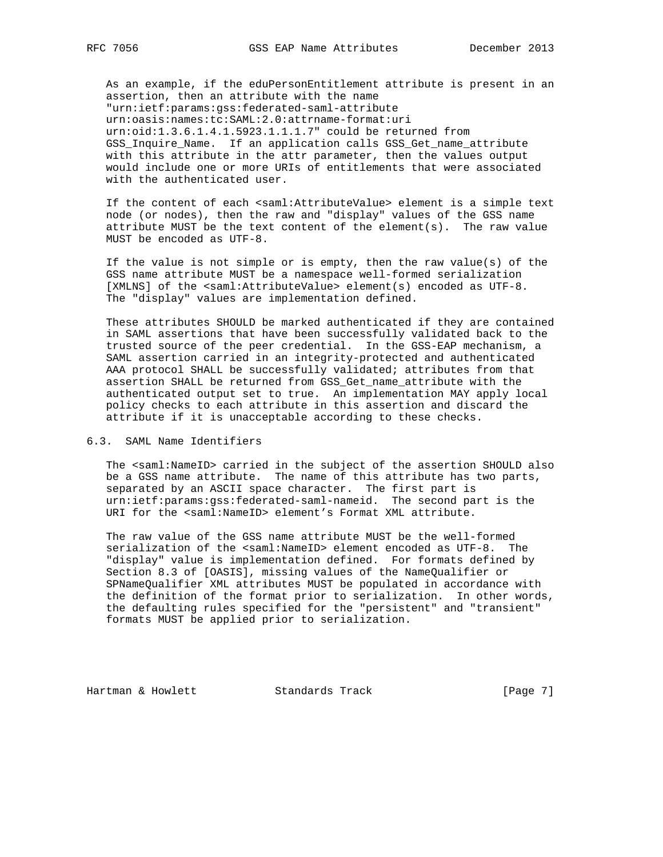As an example, if the eduPersonEntitlement attribute is present in an assertion, then an attribute with the name "urn:ietf:params:gss:federated-saml-attribute urn:oasis:names:tc:SAML:2.0:attrname-format:uri urn:oid:1.3.6.1.4.1.5923.1.1.1.7" could be returned from GSS\_Inquire\_Name. If an application calls GSS\_Get\_name\_attribute with this attribute in the attr parameter, then the values output would include one or more URIs of entitlements that were associated with the authenticated user.

 If the content of each <saml:AttributeValue> element is a simple text node (or nodes), then the raw and "display" values of the GSS name attribute MUST be the text content of the element(s). The raw value MUST be encoded as UTF-8.

 If the value is not simple or is empty, then the raw value(s) of the GSS name attribute MUST be a namespace well-formed serialization [XMLNS] of the <saml:AttributeValue> element(s) encoded as UTF-8. The "display" values are implementation defined.

 These attributes SHOULD be marked authenticated if they are contained in SAML assertions that have been successfully validated back to the trusted source of the peer credential. In the GSS-EAP mechanism, a SAML assertion carried in an integrity-protected and authenticated AAA protocol SHALL be successfully validated; attributes from that assertion SHALL be returned from GSS\_Get\_name\_attribute with the authenticated output set to true. An implementation MAY apply local policy checks to each attribute in this assertion and discard the attribute if it is unacceptable according to these checks.

6.3. SAML Name Identifiers

 The <saml:NameID> carried in the subject of the assertion SHOULD also be a GSS name attribute. The name of this attribute has two parts, separated by an ASCII space character. The first part is urn:ietf:params:gss:federated-saml-nameid. The second part is the URI for the <saml:NameID> element's Format XML attribute.

 The raw value of the GSS name attribute MUST be the well-formed serialization of the <saml:NameID> element encoded as UTF-8. The "display" value is implementation defined. For formats defined by Section 8.3 of [OASIS], missing values of the NameQualifier or SPNameQualifier XML attributes MUST be populated in accordance with the definition of the format prior to serialization. In other words, the defaulting rules specified for the "persistent" and "transient" formats MUST be applied prior to serialization.

Hartman & Howlett **Standards Track** [Page 7]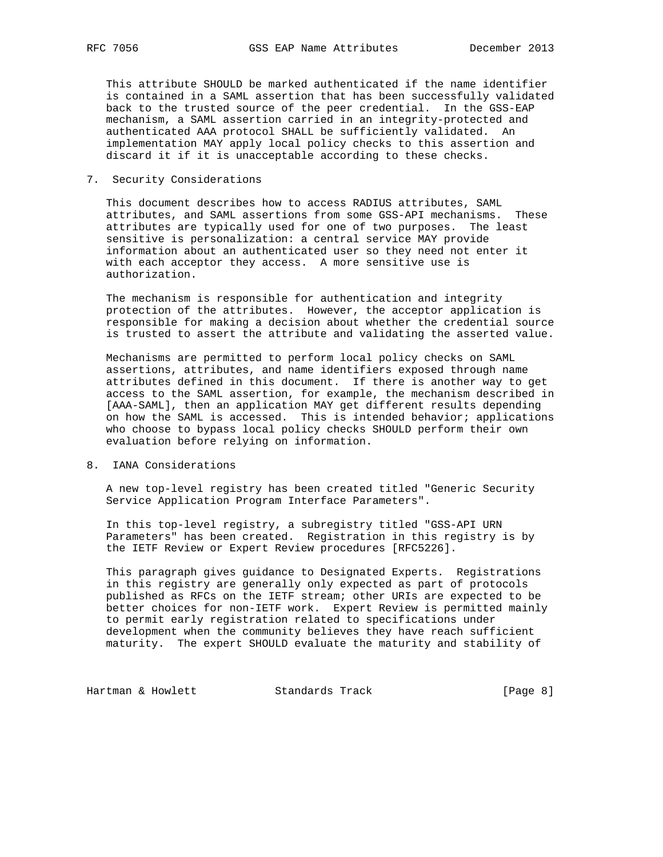This attribute SHOULD be marked authenticated if the name identifier is contained in a SAML assertion that has been successfully validated back to the trusted source of the peer credential. In the GSS-EAP mechanism, a SAML assertion carried in an integrity-protected and authenticated AAA protocol SHALL be sufficiently validated. An implementation MAY apply local policy checks to this assertion and discard it if it is unacceptable according to these checks.

### 7. Security Considerations

 This document describes how to access RADIUS attributes, SAML attributes, and SAML assertions from some GSS-API mechanisms. These attributes are typically used for one of two purposes. The least sensitive is personalization: a central service MAY provide information about an authenticated user so they need not enter it with each acceptor they access. A more sensitive use is authorization.

 The mechanism is responsible for authentication and integrity protection of the attributes. However, the acceptor application is responsible for making a decision about whether the credential source is trusted to assert the attribute and validating the asserted value.

 Mechanisms are permitted to perform local policy checks on SAML assertions, attributes, and name identifiers exposed through name attributes defined in this document. If there is another way to get access to the SAML assertion, for example, the mechanism described in [AAA-SAML], then an application MAY get different results depending on how the SAML is accessed. This is intended behavior; applications who choose to bypass local policy checks SHOULD perform their own evaluation before relying on information.

### 8. IANA Considerations

 A new top-level registry has been created titled "Generic Security Service Application Program Interface Parameters".

 In this top-level registry, a subregistry titled "GSS-API URN Parameters" has been created. Registration in this registry is by the IETF Review or Expert Review procedures [RFC5226].

 This paragraph gives guidance to Designated Experts. Registrations in this registry are generally only expected as part of protocols published as RFCs on the IETF stream; other URIs are expected to be better choices for non-IETF work. Expert Review is permitted mainly to permit early registration related to specifications under development when the community believes they have reach sufficient maturity. The expert SHOULD evaluate the maturity and stability of

Hartman & Howlett Standards Track [Page 8]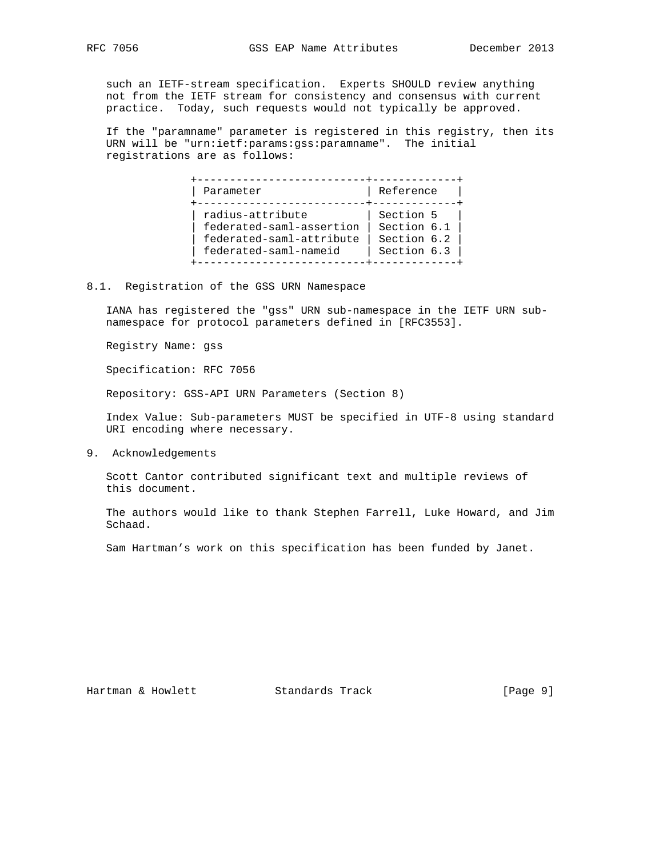such an IETF-stream specification. Experts SHOULD review anything not from the IETF stream for consistency and consensus with current practice. Today, such requests would not typically be approved.

 If the "paramname" parameter is registered in this registry, then its URN will be "urn:ietf:params:gss:paramname". The initial registrations are as follows:

| Parameter                                                                                         | Reference                                              |
|---------------------------------------------------------------------------------------------------|--------------------------------------------------------|
| radius-attribute<br>federated-saml-assertion<br>federated-saml-attribute<br>federated-saml-nameid | Section 5<br>Section 6.1<br>Section 6.2<br>Section 6.3 |

8.1. Registration of the GSS URN Namespace

 IANA has registered the "gss" URN sub-namespace in the IETF URN sub namespace for protocol parameters defined in [RFC3553].

Registry Name: gss

Specification: RFC 7056

Repository: GSS-API URN Parameters (Section 8)

 Index Value: Sub-parameters MUST be specified in UTF-8 using standard URI encoding where necessary.

9. Acknowledgements

 Scott Cantor contributed significant text and multiple reviews of this document.

 The authors would like to thank Stephen Farrell, Luke Howard, and Jim Schaad.

Sam Hartman's work on this specification has been funded by Janet.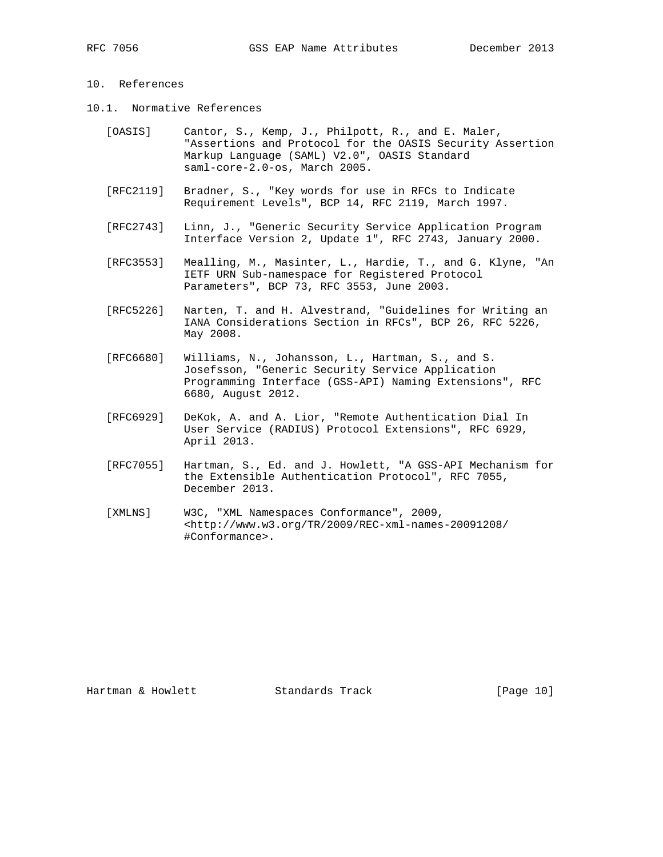# 10. References

- 10.1. Normative References
	- [OASIS] Cantor, S., Kemp, J., Philpott, R., and E. Maler, "Assertions and Protocol for the OASIS Security Assertion Markup Language (SAML) V2.0", OASIS Standard saml-core-2.0-os, March 2005.
	- [RFC2119] Bradner, S., "Key words for use in RFCs to Indicate Requirement Levels", BCP 14, RFC 2119, March 1997.
	- [RFC2743] Linn, J., "Generic Security Service Application Program Interface Version 2, Update 1", RFC 2743, January 2000.
	- [RFC3553] Mealling, M., Masinter, L., Hardie, T., and G. Klyne, "An IETF URN Sub-namespace for Registered Protocol Parameters", BCP 73, RFC 3553, June 2003.
	- [RFC5226] Narten, T. and H. Alvestrand, "Guidelines for Writing an IANA Considerations Section in RFCs", BCP 26, RFC 5226, May 2008.
	- [RFC6680] Williams, N., Johansson, L., Hartman, S., and S. Josefsson, "Generic Security Service Application Programming Interface (GSS-API) Naming Extensions", RFC 6680, August 2012.
	- [RFC6929] DeKok, A. and A. Lior, "Remote Authentication Dial In User Service (RADIUS) Protocol Extensions", RFC 6929, April 2013.
	- [RFC7055] Hartman, S., Ed. and J. Howlett, "A GSS-API Mechanism for the Extensible Authentication Protocol", RFC 7055, December 2013.
	- [XMLNS] W3C, "XML Namespaces Conformance", 2009, <http://www.w3.org/TR/2009/REC-xml-names-20091208/ #Conformance>.

Hartman & Howlett Standards Track [Page 10]